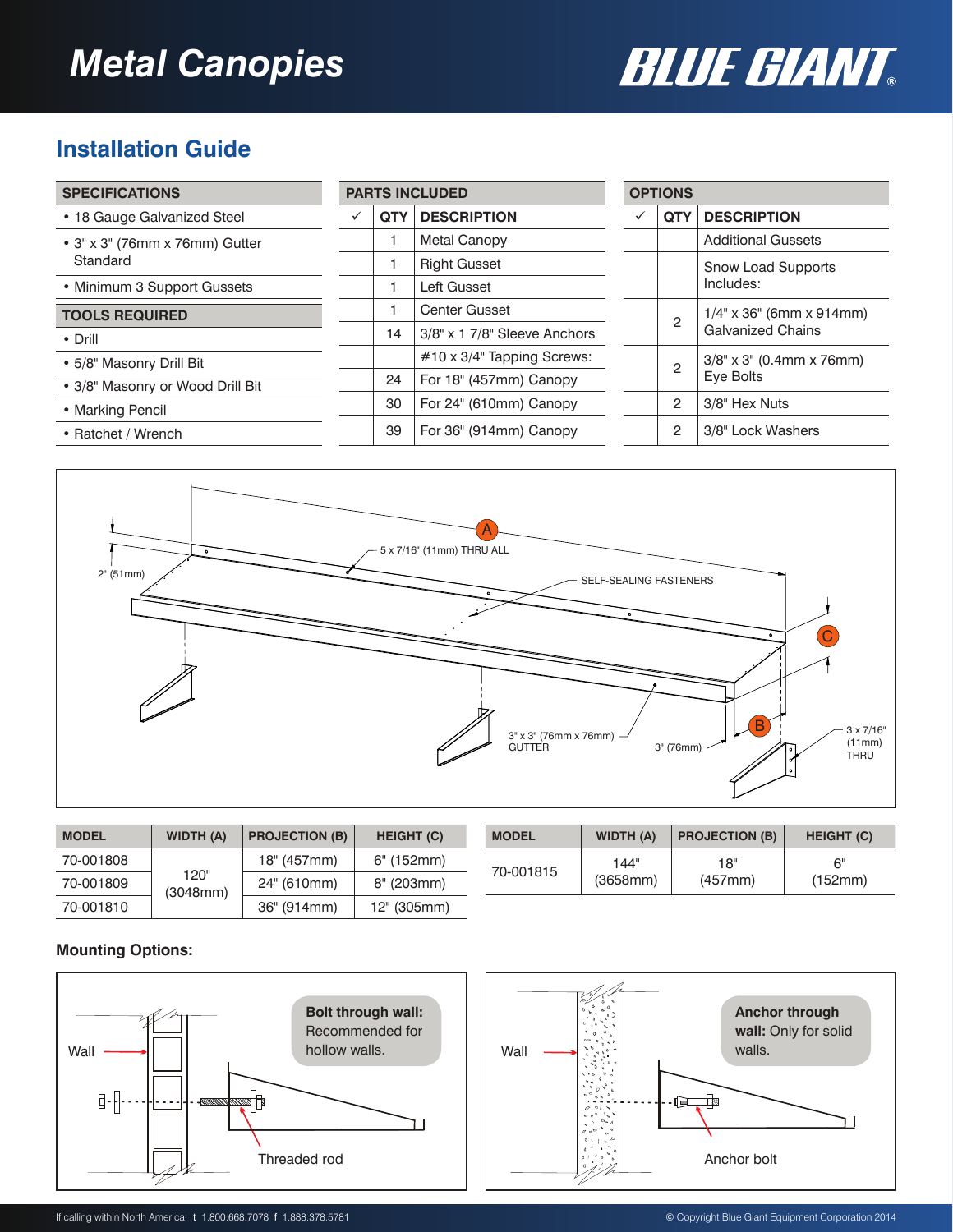# *Metal Canopies*



## **Installation Guide**

| <b>SPECIFICATIONS</b>                              | <b>PARTS INCLUDED</b> |                              |   | <b>OPTIONS</b> |                                                         |
|----------------------------------------------------|-----------------------|------------------------------|---|----------------|---------------------------------------------------------|
| • 18 Gauge Galvanized Steel                        | <b>QTY</b>            | <b>DESCRIPTION</b>           | ✓ | <b>QTY</b>     | <b>DESCRIPTION</b>                                      |
| $\bullet$ 3" x 3" (76mm x 76mm) Gutter<br>Standard |                       | <b>Metal Canopy</b>          |   |                | <b>Additional Gussets</b>                               |
|                                                    |                       | <b>Right Gusset</b>          |   |                | <b>Snow Load Supports</b><br>Includes:                  |
| • Minimum 3 Support Gussets                        |                       | Left Gusset                  |   |                |                                                         |
| <b>TOOLS REQUIRED</b>                              |                       | <b>Center Gusset</b>         |   | $\mathcal{P}$  | $1/4$ " x 36" (6mm x 914mm)<br><b>Galvanized Chains</b> |
| • Drill                                            | 14                    | 3/8" x 1 7/8" Sleeve Anchors |   |                |                                                         |
| • 5/8" Masonry Drill Bit                           |                       | #10 x 3/4" Tapping Screws:   |   | 2              | $3/8" \times 3"$ (0.4mm x 76mm)                         |
| • 3/8" Masonry or Wood Drill Bit                   | 24                    | For 18" (457mm) Canopy       |   | Eye Bolts      |                                                         |
| • Marking Pencil                                   | 30                    | For 24" (610mm) Canopy       |   | 2              | 3/8" Hex Nuts                                           |
| • Ratchet / Wrench                                 | 39                    | For 36" (914mm) Canopy       |   | $\mathcal{P}$  | 3/8" Lock Washers                                       |



| <b>MODEL</b> | <b>WIDTH (A)</b> | <b>PROJECTION (B)</b> | <b>HEIGHT (C)</b> |
|--------------|------------------|-----------------------|-------------------|
| 70-001808    |                  | 18" (457mm)           | $6"$ (152mm)      |
| 70-001809    | 120"<br>(3048mm) | 24" (610mm)           | 8" (203mm)        |
| 70-001810    |                  | 36" (914mm)           | 12" (305mm)       |

| <b>MODEL</b> | <b>WIDTH (A)</b> | <b>PROJECTION (B)</b> | <b>HEIGHT (C)</b> |
|--------------|------------------|-----------------------|-------------------|
| 70-001815    | 144"             | 18"                   | 6"                |
|              | (3658mm)         | (457mm)               | (152mm)           |

#### **Mounting Options:**